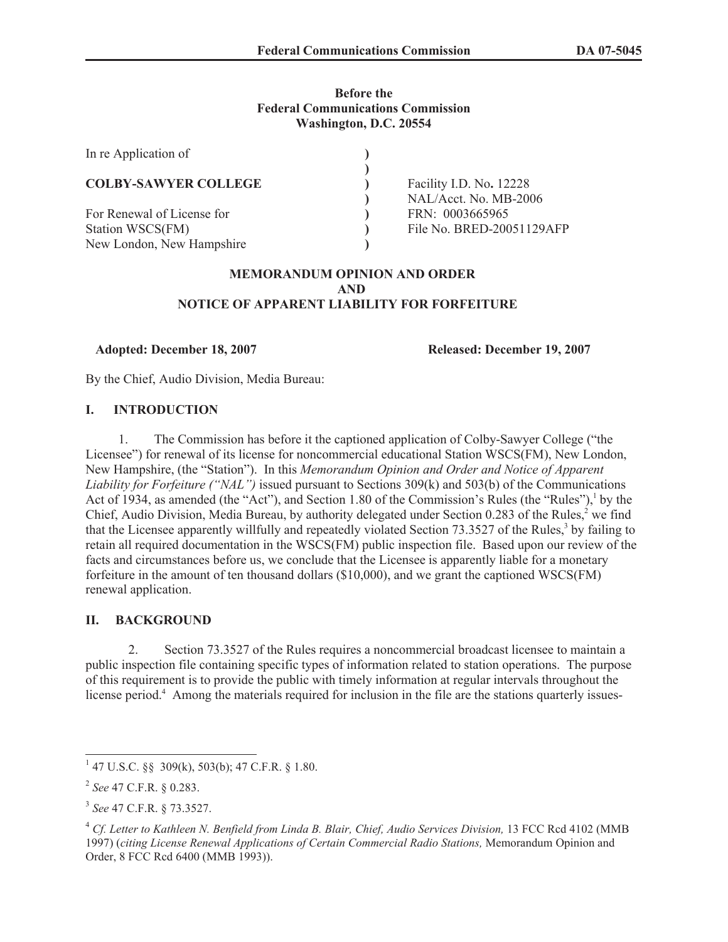## **Before the Federal Communications Commission Washington, D.C. 20554**

| In re Application of        |                           |
|-----------------------------|---------------------------|
| <b>COLBY-SAWYER COLLEGE</b> | Facility I.D. No. 12228   |
|                             | NAL/Acct. No. MB-2006     |
| For Renewal of License for  | FRN: 0003665965           |
| Station WSCS(FM)            | File No. BRED-20051129AFP |
| New London, New Hampshire   |                           |

## **MEMORANDUM OPINION AND ORDER AND NOTICE OF APPARENT LIABILITY FOR FORFEITURE**

## **Adopted: December 18, 2007 Released: December 19, 2007**

By the Chief, Audio Division, Media Bureau:

## **I. INTRODUCTION**

1. The Commission has before it the captioned application of Colby-Sawyer College ("the Licensee") for renewal of its license for noncommercial educational Station WSCS(FM), New London, New Hampshire, (the "Station"). In this *Memorandum Opinion and Order and Notice of Apparent Liability for Forfeiture ("NAL")* issued pursuant to Sections 309(k) and 503(b) of the Communications Act of 1934, as amended (the "Act"), and Section 1.80 of the Commission's Rules (the "Rules"), by the Chief, Audio Division, Media Bureau, by authority delegated under Section 0.283 of the Rules,<sup>2</sup> we find that the Licensee apparently willfully and repeatedly violated Section 73.3527 of the Rules,<sup>3</sup> by failing to retain all required documentation in the WSCS(FM) public inspection file. Based upon our review of the facts and circumstances before us, we conclude that the Licensee is apparently liable for a monetary forfeiture in the amount of ten thousand dollars (\$10,000), and we grant the captioned WSCS(FM) renewal application.

#### **II. BACKGROUND**

2. Section 73.3527 of the Rules requires a noncommercial broadcast licensee to maintain a public inspection file containing specific types of information related to station operations. The purpose of this requirement is to provide the public with timely information at regular intervals throughout the license period.<sup>4</sup> Among the materials required for inclusion in the file are the stations quarterly issues-

 $147$  U.S.C. §§ 309(k), 503(b); 47 C.F.R. § 1.80.

<sup>2</sup> *See* 47 C.F.R. § 0.283.

<sup>3</sup> *See* 47 C.F.R. § 73.3527.

<sup>4</sup> *Cf. Letter to Kathleen N. Benfield from Linda B. Blair, Chief, Audio Services Division,* 13 FCC Rcd 4102 (MMB 1997) (*citing License Renewal Applications of Certain Commercial Radio Stations,* Memorandum Opinion and Order, 8 FCC Rcd 6400 (MMB 1993)).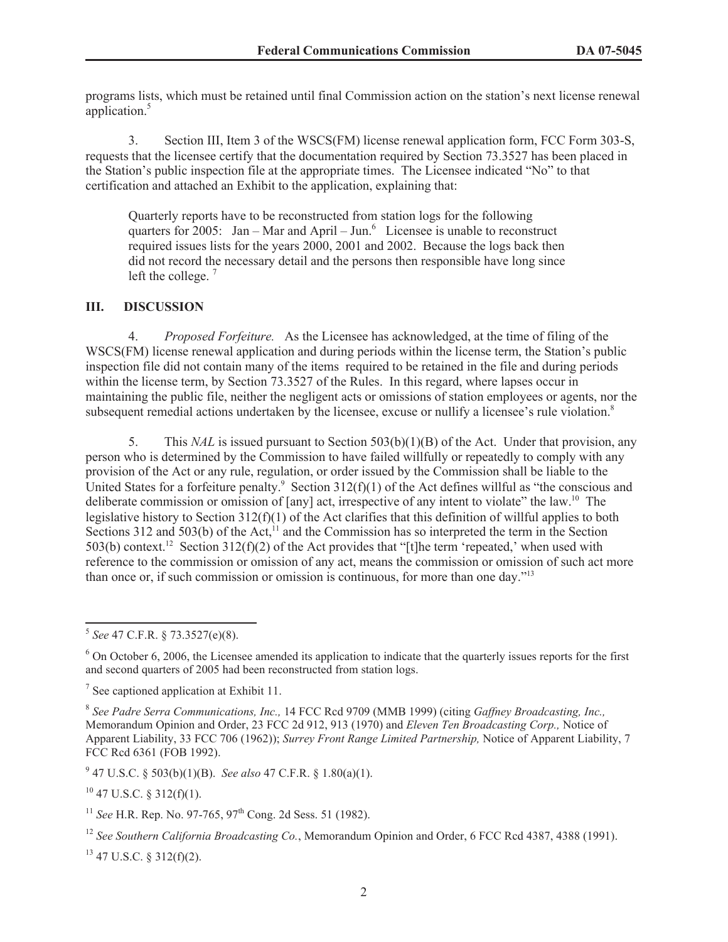programs lists, which must be retained until final Commission action on the station's next license renewal application.<sup>5</sup>

3. Section III, Item 3 of the WSCS(FM) license renewal application form, FCC Form 303-S, requests that the licensee certify that the documentation required by Section 73.3527 has been placed in the Station's public inspection file at the appropriate times. The Licensee indicated "No" to that certification and attached an Exhibit to the application, explaining that:

Quarterly reports have to be reconstructed from station logs for the following quarters for 2005: Jan – Mar and April – Jun. $^6$  Licensee is unable to reconstruct required issues lists for the years 2000, 2001 and 2002. Because the logs back then did not record the necessary detail and the persons then responsible have long since left the college.  $\frac{7}{7}$ 

#### **III. DISCUSSION**

4. *Proposed Forfeiture.* As the Licensee has acknowledged, at the time of filing of the WSCS(FM) license renewal application and during periods within the license term, the Station's public inspection file did not contain many of the items required to be retained in the file and during periods within the license term, by Section 73.3527 of the Rules. In this regard, where lapses occur in maintaining the public file, neither the negligent acts or omissions of station employees or agents, nor the subsequent remedial actions undertaken by the licensee, excuse or nullify a licensee's rule violation.<sup>8</sup>

5. This *NAL* is issued pursuant to Section 503(b)(1)(B) of the Act. Under that provision, any person who is determined by the Commission to have failed willfully or repeatedly to comply with any provision of the Act or any rule, regulation, or order issued by the Commission shall be liable to the United States for a forfeiture penalty.<sup>9</sup> Section 312(f)(1) of the Act defines willful as "the conscious and deliberate commission or omission of [any] act, irrespective of any intent to violate" the law.<sup>10</sup> The legislative history to Section 312(f)(1) of the Act clarifies that this definition of willful applies to both Sections 312 and 503(b) of the Act, $11$  and the Commission has so interpreted the term in the Section 503(b) context.<sup>12</sup> Section 312(f)(2) of the Act provides that "[t]he term 'repeated,' when used with reference to the commission or omission of any act, means the commission or omission of such act more than once or, if such commission or omission is continuous, for more than one day." 13

9 47 U.S.C. § 503(b)(1)(B). *See also* 47 C.F.R. § 1.80(a)(1).

 $10$  47 U.S.C. § 312(f)(1).

<sup>11</sup> *See* H.R. Rep. No. 97-765, 97<sup>th</sup> Cong. 2d Sess. 51 (1982).

 $13$  47 U.S.C. § 312(f)(2).

<sup>5</sup> *See* 47 C.F.R. § 73.3527(e)(8).

 $6$  On October 6, 2006, the Licensee amended its application to indicate that the quarterly issues reports for the first and second quarters of 2005 had been reconstructed from station logs.

<sup>&</sup>lt;sup>7</sup> See captioned application at Exhibit 11.

<sup>8</sup> *See Padre Serra Communications, Inc.,* 14 FCC Rcd 9709 (MMB 1999) (citing *Gaffney Broadcasting, Inc.,* Memorandum Opinion and Order, 23 FCC 2d 912, 913 (1970) and *Eleven Ten Broadcasting Corp.,* Notice of Apparent Liability, 33 FCC 706 (1962)); *Surrey Front Range Limited Partnership,* Notice of Apparent Liability, 7 FCC Rcd 6361 (FOB 1992).

<sup>12</sup> *See Southern California Broadcasting Co.*, Memorandum Opinion and Order, 6 FCC Rcd 4387, 4388 (1991).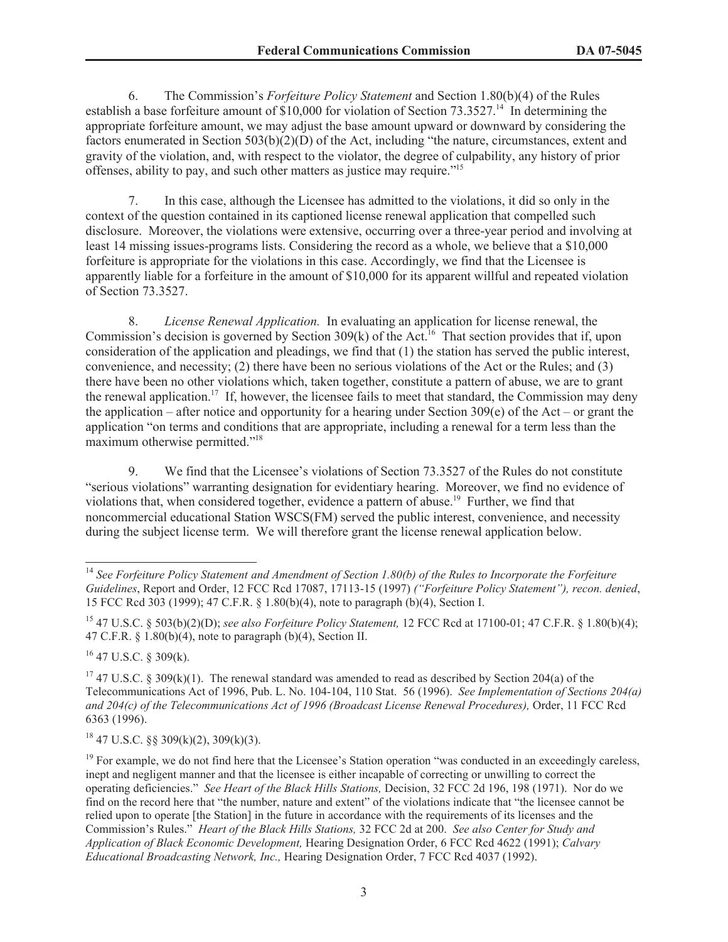6. The Commission's *Forfeiture Policy Statement* and Section 1.80(b)(4) of the Rules establish a base forfeiture amount of \$10,000 for violation of Section 73.3527.<sup>14</sup> In determining the appropriate forfeiture amount, we may adjust the base amount upward or downward by considering the factors enumerated in Section 503(b)(2)(D) of the Act, including "the nature, circumstances, extent and gravity of the violation, and, with respect to the violator, the degree of culpability, any history of prior offenses, ability to pay, and such other matters as justice may require."<sup>15</sup>

7. In this case, although the Licensee has admitted to the violations, it did so only in the context of the question contained in its captioned license renewal application that compelled such disclosure. Moreover, the violations were extensive, occurring over a three-year period and involving at least 14 missing issues-programs lists. Considering the record as a whole, we believe that a \$10,000 forfeiture is appropriate for the violations in this case. Accordingly, we find that the Licensee is apparently liable for a forfeiture in the amount of \$10,000 for its apparent willful and repeated violation of Section 73.3527.

8. *License Renewal Application.* In evaluating an application for license renewal, the Commission's decision is governed by Section 309(k) of the Act.<sup>16</sup> That section provides that if, upon consideration of the application and pleadings, we find that (1) the station has served the public interest, convenience, and necessity; (2) there have been no serious violations of the Act or the Rules; and (3) there have been no other violations which, taken together, constitute a pattern of abuse, we are to grant the renewal application.<sup>17</sup> If, however, the licensee fails to meet that standard, the Commission may deny the application – after notice and opportunity for a hearing under Section  $309(e)$  of the Act – or grant the application "on terms and conditions that are appropriate, including a renewal for a term less than the maximum otherwise permitted."<sup>18</sup>

9. We find that the Licensee's violations of Section 73.3527 of the Rules do not constitute "serious violations" warranting designation for evidentiary hearing. Moreover, we find no evidence of violations that, when considered together, evidence a pattern of abuse.<sup>19</sup> Further, we find that noncommercial educational Station WSCS(FM) served the public interest, convenience, and necessity during the subject license term. We will therefore grant the license renewal application below.

 $16$  47 U.S.C. § 309(k).

 $18$  47 U.S.C. §§ 309(k)(2), 309(k)(3).

<sup>14</sup> *See Forfeiture Policy Statement and Amendment of Section 1.80(b) of the Rules to Incorporate the Forfeiture Guidelines*, Report and Order, 12 FCC Rcd 17087, 17113-15 (1997) *("Forfeiture Policy Statement"), recon. denied*, 15 FCC Rcd 303 (1999); 47 C.F.R. § 1.80(b)(4), note to paragraph (b)(4), Section I.

<sup>15</sup> 47 U.S.C. § 503(b)(2)(D); *see also Forfeiture Policy Statement,* 12 FCC Rcd at 17100-01; 47 C.F.R. § 1.80(b)(4); 47 C.F.R. § 1.80(b)(4), note to paragraph (b)(4), Section II.

<sup>&</sup>lt;sup>17</sup> 47 U.S.C. § 309(k)(1). The renewal standard was amended to read as described by Section 204(a) of the Telecommunications Act of 1996, Pub. L. No. 104-104, 110 Stat. 56 (1996). *See Implementation of Sections 204(a) and 204(c) of the Telecommunications Act of 1996 (Broadcast License Renewal Procedures),* Order, 11 FCC Rcd 6363 (1996).

<sup>&</sup>lt;sup>19</sup> For example, we do not find here that the Licensee's Station operation "was conducted in an exceedingly careless, inept and negligent manner and that the licensee is either incapable of correcting or unwilling to correct the operating deficiencies." *See Heart of the Black Hills Stations,* Decision, 32 FCC 2d 196, 198 (1971). Nor do we find on the record here that "the number, nature and extent" of the violations indicate that "the licensee cannot be relied upon to operate [the Station] in the future in accordance with the requirements of its licenses and the Commission's Rules." *Heart of the Black Hills Stations,* 32 FCC 2d at 200. *See also Center for Study and Application of Black Economic Development,* Hearing Designation Order, 6 FCC Rcd 4622 (1991); *Calvary Educational Broadcasting Network, Inc.,* Hearing Designation Order, 7 FCC Rcd 4037 (1992).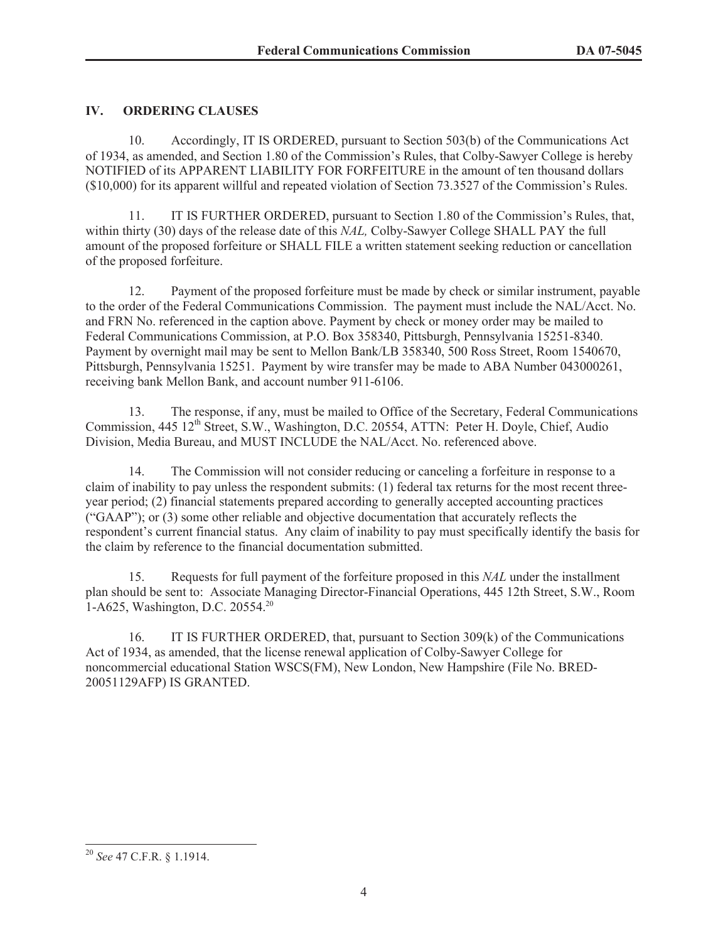# **IV. ORDERING CLAUSES**

10. Accordingly, IT IS ORDERED, pursuant to Section 503(b) of the Communications Act of 1934, as amended, and Section 1.80 of the Commission's Rules, that Colby-Sawyer College is hereby NOTIFIED of its APPARENT LIABILITY FOR FORFEITURE in the amount of ten thousand dollars (\$10,000) for its apparent willful and repeated violation of Section 73.3527 of the Commission's Rules.

11. IT IS FURTHER ORDERED, pursuant to Section 1.80 of the Commission's Rules, that, within thirty (30) days of the release date of this *NAL,* Colby-Sawyer College SHALL PAY the full amount of the proposed forfeiture or SHALL FILE a written statement seeking reduction or cancellation of the proposed forfeiture.

12. Payment of the proposed forfeiture must be made by check or similar instrument, payable to the order of the Federal Communications Commission. The payment must include the NAL/Acct. No. and FRN No. referenced in the caption above. Payment by check or money order may be mailed to Federal Communications Commission, at P.O. Box 358340, Pittsburgh, Pennsylvania 15251-8340. Payment by overnight mail may be sent to Mellon Bank/LB 358340, 500 Ross Street, Room 1540670, Pittsburgh, Pennsylvania 15251. Payment by wire transfer may be made to ABA Number 043000261, receiving bank Mellon Bank, and account number 911-6106.

13. The response, if any, must be mailed to Office of the Secretary, Federal Communications Commission, 445 12<sup>th</sup> Street, S.W., Washington, D.C. 20554, ATTN: Peter H. Doyle, Chief, Audio Division, Media Bureau, and MUST INCLUDE the NAL/Acct. No. referenced above.

14. The Commission will not consider reducing or canceling a forfeiture in response to a claim of inability to pay unless the respondent submits: (1) federal tax returns for the most recent threeyear period; (2) financial statements prepared according to generally accepted accounting practices ("GAAP"); or (3) some other reliable and objective documentation that accurately reflects the respondent's current financial status. Any claim of inability to pay must specifically identify the basis for the claim by reference to the financial documentation submitted.

15. Requests for full payment of the forfeiture proposed in this *NAL* under the installment plan should be sent to: Associate Managing Director-Financial Operations, 445 12th Street, S.W., Room 1-A625, Washington, D.C. 20554.<sup>20</sup>

16. IT IS FURTHER ORDERED, that, pursuant to Section 309(k) of the Communications Act of 1934, as amended, that the license renewal application of Colby-Sawyer College for noncommercial educational Station WSCS(FM), New London, New Hampshire (File No. BRED-20051129AFP) IS GRANTED.

<sup>20</sup> *See* 47 C.F.R. § 1.1914.